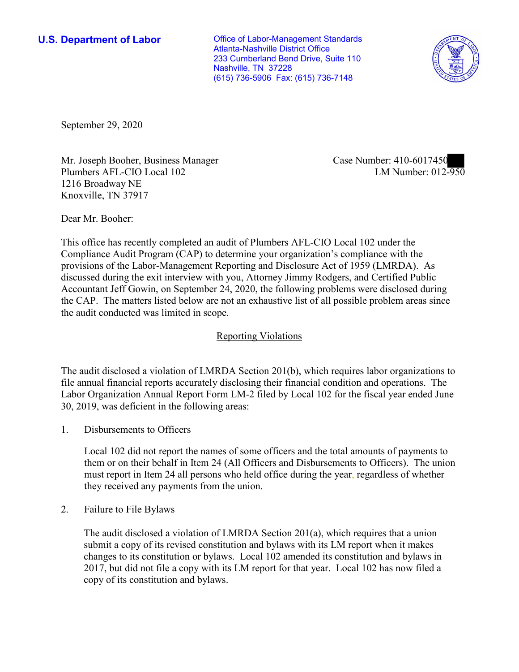**U.S. Department of Labor Conservative Conservative Conservative Conservative U.S.** Department of Labor Atlanta-Nashville District Office 233 Cumberland Bend Drive, Suite 110 Nashville, TN 37228 (615) 736-5906 Fax: (615) 736-7148



September 29, 2020

Mr. Joseph Booher, Business Manager Plumbers AFL-CIO Local 102 1216 Broadway NE Knoxville, TN 37917

Case Number: 410-6017450<br>LM Number: 012-950

Dear Mr. Booher:

 This office has recently completed an audit of Plumbers AFL-CIO Local 102 under the Compliance Audit Program (CAP) to determine your organization's compliance with the provisions of the Labor-Management Reporting and Disclosure Act of 1959 (LMRDA). As discussed during the exit interview with you, Attorney Jimmy Rodgers, and Certified Public Accountant Jeff Gowin, on September 24, 2020, the following problems were disclosed during the CAP. The matters listed below are not an exhaustive list of all possible problem areas since the audit conducted was limited in scope.

## Reporting Violations

 Labor Organization Annual Report Form LM-2 filed by Local 102 for the fiscal year ended June The audit disclosed a violation of LMRDA Section 201(b), which requires labor organizations to file annual financial reports accurately disclosing their financial condition and operations. The 30, 2019, was deficient in the following areas:

1. Disbursements to Officers

 must report in Item 24 all persons who held office during the year, regardless of whether Local 102 did not report the names of some officers and the total amounts of payments to them or on their behalf in Item 24 (All Officers and Disbursements to Officers). The union they received any payments from the union.

2. Failure to File Bylaws

 2017, but did not file a copy with its LM report for that year. Local 102 has now filed a The audit disclosed a violation of LMRDA Section 201(a), which requires that a union submit a copy of its revised constitution and bylaws with its LM report when it makes changes to its constitution or bylaws. Local 102 amended its constitution and bylaws in copy of its constitution and bylaws.